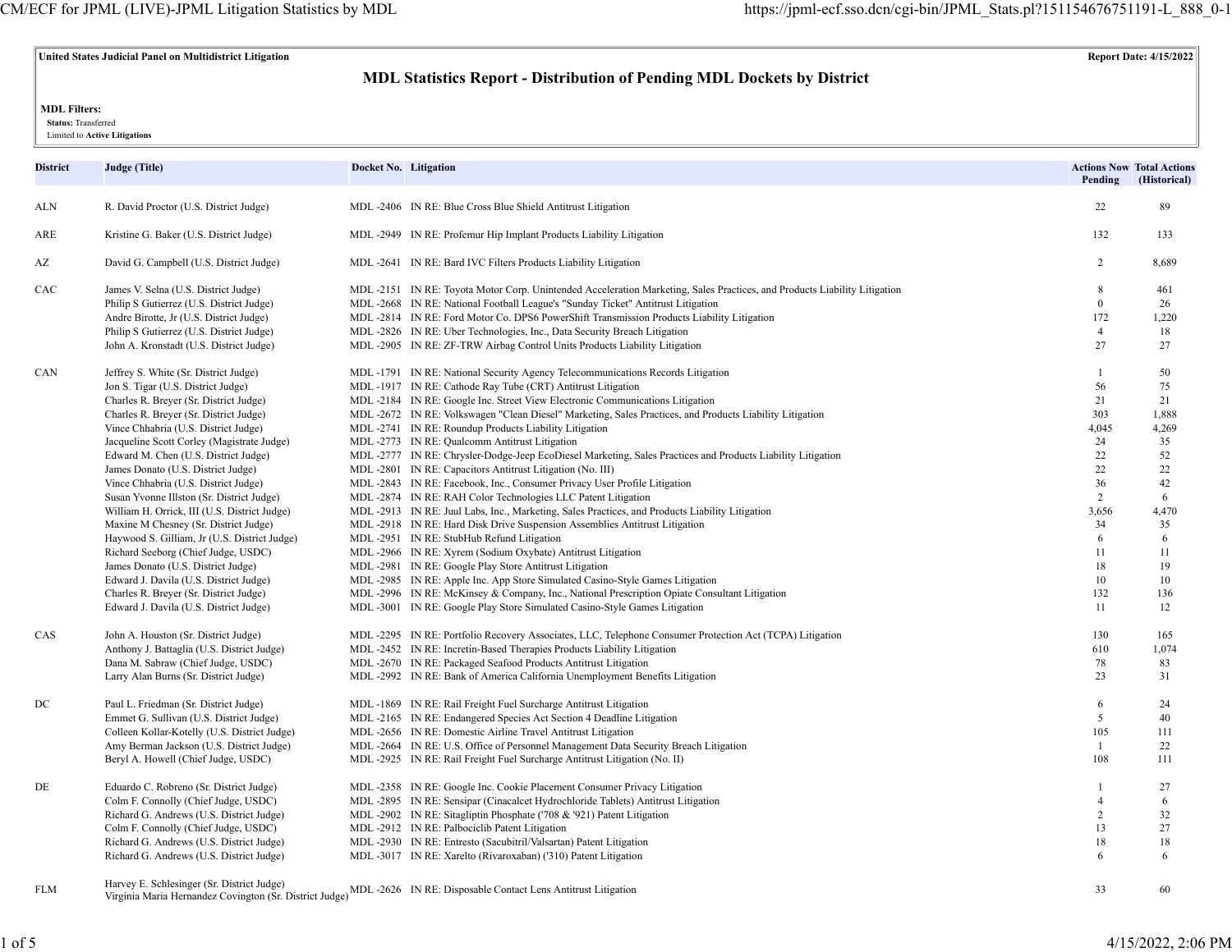## **United States Judicial Panel on Multidistrict Litigation Report Date: 4/15/2022**

# **MDL Statistics Report - Distribution of Pending MDL Dockets by District**

### **MDL Filters:**

 **Status:** Transferred

Limited to **Active Litigations**

| District | Judge (Title)                                | Docket No. Litigation |                                                                                                                          | Pending                                                                                                                                                               | <b>Actions Now Total Actions</b><br>(Historical) |
|----------|----------------------------------------------|-----------------------|--------------------------------------------------------------------------------------------------------------------------|-----------------------------------------------------------------------------------------------------------------------------------------------------------------------|--------------------------------------------------|
| ALN      | R. David Proctor (U.S. District Judge)       |                       | MDL-2406 IN RE: Blue Cross Blue Shield Antitrust Litigation                                                              | 22                                                                                                                                                                    | 89                                               |
| ARE      | Kristine G. Baker (U.S. District Judge)      |                       | MDL -2949 IN RE: Profemur Hip Implant Products Liability Litigation                                                      | 132                                                                                                                                                                   | 133                                              |
| AZ       | David G. Campbell (U.S. District Judge)      |                       | MDL-2641 IN RE: Bard IVC Filters Products Liability Litigation                                                           | 2                                                                                                                                                                     | 8,689                                            |
| CAC      | James V. Selna (U.S. District Judge)         |                       | MDL-2151 IN RE: Toyota Motor Corp. Unintended Acceleration Marketing, Sales Practices, and Products Liability Litigation | 8                                                                                                                                                                     | 461                                              |
|          | Philip S Gutierrez (U.S. District Judge)     |                       | MDL -2668 IN RE: National Football League's "Sunday Ticket" Antitrust Litigation                                         | $\theta$                                                                                                                                                              | 26                                               |
|          | Andre Birotte, Jr (U.S. District Judge)      |                       | MDL-2814 IN RE: Ford Motor Co. DPS6 PowerShift Transmission Products Liability Litigation                                | 172                                                                                                                                                                   | 1,220                                            |
|          | Philip S Gutierrez (U.S. District Judge)     |                       | MDL -2826 IN RE: Uber Technologies, Inc., Data Security Breach Litigation                                                | $\overline{4}$                                                                                                                                                        | 18                                               |
|          | John A. Kronstadt (U.S. District Judge)      |                       | MDL -2905 IN RE: ZF-TRW Airbag Control Units Products Liability Litigation                                               | 27                                                                                                                                                                    | 27                                               |
| CAN      | Jeffrey S. White (Sr. District Judge)        |                       | MDL -1791 IN RE: National Security Agency Telecommunications Records Litigation                                          | $\overline{1}$                                                                                                                                                        | 50                                               |
|          | Jon S. Tigar (U.S. District Judge)           |                       | MDL-1917 IN RE: Cathode Ray Tube (CRT) Antitrust Litigation                                                              | 56                                                                                                                                                                    | 75                                               |
|          | Charles R. Breyer (Sr. District Judge)       |                       | MDL-2184 IN RE: Google Inc. Street View Electronic Communications Litigation                                             | 21                                                                                                                                                                    | 21                                               |
|          | Charles R. Breyer (Sr. District Judge)       |                       | MDL-2672 IN RE: Volkswagen "Clean Diesel" Marketing, Sales Practices, and Products Liability Litigation                  | 303                                                                                                                                                                   | 1,888                                            |
|          | Vince Chhabria (U.S. District Judge)         |                       | MDL-2741 IN RE: Roundup Products Liability Litigation                                                                    | 4,045                                                                                                                                                                 | 4,269                                            |
|          | Jacqueline Scott Corley (Magistrate Judge)   |                       | MDL -2773 IN RE: Qualcomm Antitrust Litigation                                                                           | 24                                                                                                                                                                    | 35                                               |
|          | Edward M. Chen (U.S. District Judge)         |                       | MDL-2777 IN RE: Chrysler-Dodge-Jeep EcoDiesel Marketing, Sales Practices and Products Liability Litigation               | 22                                                                                                                                                                    | 52                                               |
|          | James Donato (U.S. District Judge)           |                       | MDL -2801 IN RE: Capacitors Antitrust Litigation (No. III)                                                               | 22                                                                                                                                                                    | 22                                               |
|          | Vince Chhabria (U.S. District Judge)         |                       | MDL -2843 IN RE: Facebook, Inc., Consumer Privacy User Profile Litigation                                                | 36                                                                                                                                                                    | 42                                               |
|          | Susan Yvonne Illston (Sr. District Judge)    |                       | MDL -2874 IN RE: RAH Color Technologies LLC Patent Litigation                                                            |                                                                                                                                                                       | 6                                                |
|          | William H. Orrick, III (U.S. District Judge) |                       | MDL-2913 IN RE: Juul Labs, Inc., Marketing, Sales Practices, and Products Liability Litigation                           |                                                                                                                                                                       | 4,470                                            |
|          | Maxine M Chesney (Sr. District Judge)        |                       | MDL -2918 IN RE: Hard Disk Drive Suspension Assemblies Antitrust Litigation                                              |                                                                                                                                                                       | 35                                               |
|          | Haywood S. Gilliam, Jr (U.S. District Judge) |                       | MDL-2951 IN RE: StubHub Refund Litigation                                                                                |                                                                                                                                                                       | 6                                                |
|          | Richard Seeborg (Chief Judge, USDC)          |                       | MDL -2966 IN RE: Xyrem (Sodium Oxybate) Antitrust Litigation                                                             |                                                                                                                                                                       | 11                                               |
|          | James Donato (U.S. District Judge)           |                       | MDL -2981 IN RE: Google Play Store Antitrust Litigation                                                                  |                                                                                                                                                                       | 19                                               |
|          | Edward J. Davila (U.S. District Judge)       |                       | MDL-2985 IN RE: Apple Inc. App Store Simulated Casino-Style Games Litigation                                             |                                                                                                                                                                       | 10                                               |
|          | Charles R. Breyer (Sr. District Judge)       |                       | MDL-2996 IN RE: McKinsey & Company, Inc., National Prescription Opiate Consultant Litigation                             |                                                                                                                                                                       | 136                                              |
|          | Edward J. Davila (U.S. District Judge)       |                       | MDL-3001 IN RE: Google Play Store Simulated Casino-Style Games Litigation                                                |                                                                                                                                                                       | 12                                               |
| CAS      | John A. Houston (Sr. District Judge)         |                       | MDL-2295 IN RE: Portfolio Recovery Associates, LLC, Telephone Consumer Protection Act (TCPA) Litigation                  | 2<br>3,656<br>34<br>6<br>11<br>18<br>10<br>132<br>11<br>130<br>610<br>78<br>23<br>6<br>5<br>105<br>$\mathbf{1}$<br>108<br>$\overline{1}$<br>$\overline{4}$<br>2<br>13 | 165                                              |
|          | Anthony J. Battaglia (U.S. District Judge)   |                       | MDL-2452 IN RE: Incretin-Based Therapies Products Liability Litigation                                                   |                                                                                                                                                                       | 1,074                                            |
|          | Dana M. Sabraw (Chief Judge, USDC)           |                       | MDL -2670 IN RE: Packaged Seafood Products Antitrust Litigation                                                          |                                                                                                                                                                       | 83                                               |
|          | Larry Alan Burns (Sr. District Judge)        |                       | MDL-2992 IN RE: Bank of America California Unemployment Benefits Litigation                                              |                                                                                                                                                                       | 31                                               |
| DC       | Paul L. Friedman (Sr. District Judge)        |                       | MDL -1869 IN RE: Rail Freight Fuel Surcharge Antitrust Litigation                                                        |                                                                                                                                                                       | 24                                               |
|          | Emmet G. Sullivan (U.S. District Judge)      |                       | MDL-2165 IN RE: Endangered Species Act Section 4 Deadline Litigation                                                     |                                                                                                                                                                       | 40                                               |
|          | Colleen Kollar-Kotelly (U.S. District Judge) |                       | MDL -2656 IN RE: Domestic Airline Travel Antitrust Litigation                                                            |                                                                                                                                                                       | 111                                              |
|          | Amy Berman Jackson (U.S. District Judge)     |                       | MDL -2664 IN RE: U.S. Office of Personnel Management Data Security Breach Litigation                                     |                                                                                                                                                                       | 22                                               |
|          | Beryl A. Howell (Chief Judge, USDC)          |                       | MDL-2925 IN RE: Rail Freight Fuel Surcharge Antitrust Litigation (No. II)                                                |                                                                                                                                                                       | 111                                              |
| DE       | Eduardo C. Robreno (Sr. District Judge)      |                       | MDL -2358 IN RE: Google Inc. Cookie Placement Consumer Privacy Litigation                                                |                                                                                                                                                                       | 27                                               |
|          | Colm F. Connolly (Chief Judge, USDC)         |                       | MDL-2895 IN RE: Sensipar (Cinacalcet Hydrochloride Tablets) Antitrust Litigation                                         |                                                                                                                                                                       | 6                                                |
|          | Richard G. Andrews (U.S. District Judge)     |                       | MDL -2902 IN RE: Sitagliptin Phosphate ('708 & '921) Patent Litigation                                                   |                                                                                                                                                                       | 32                                               |
|          | Colm F. Connolly (Chief Judge, USDC)         |                       | MDL -2912 IN RE: Palbociclib Patent Litigation                                                                           |                                                                                                                                                                       | 27                                               |
|          | Richard G. Andrews (U.S. District Judge)     |                       | MDL -2930 IN RE: Entresto (Sacubitril/Valsartan) Patent Litigation                                                       | 18                                                                                                                                                                    | 18                                               |
|          | Richard G. Andrews (U.S. District Judge)     |                       | MDL-3017 IN RE: Xarelto (Rivaroxaban) ('310) Patent Litigation                                                           | 6                                                                                                                                                                     | 6                                                |
| FLM      | Harvey E. Schlesinger (Sr. District Judge)   |                       | MDL-2626 IN RE: Disposable Contact Lens Antitrust Litioation                                                             | 33                                                                                                                                                                    | 60                                               |

Virginia Maria Hernandez Covington (Sr. District Judge)<sup>MDL -2626</sup> IN RE: Disposable Contact Lens Antitrust Litigation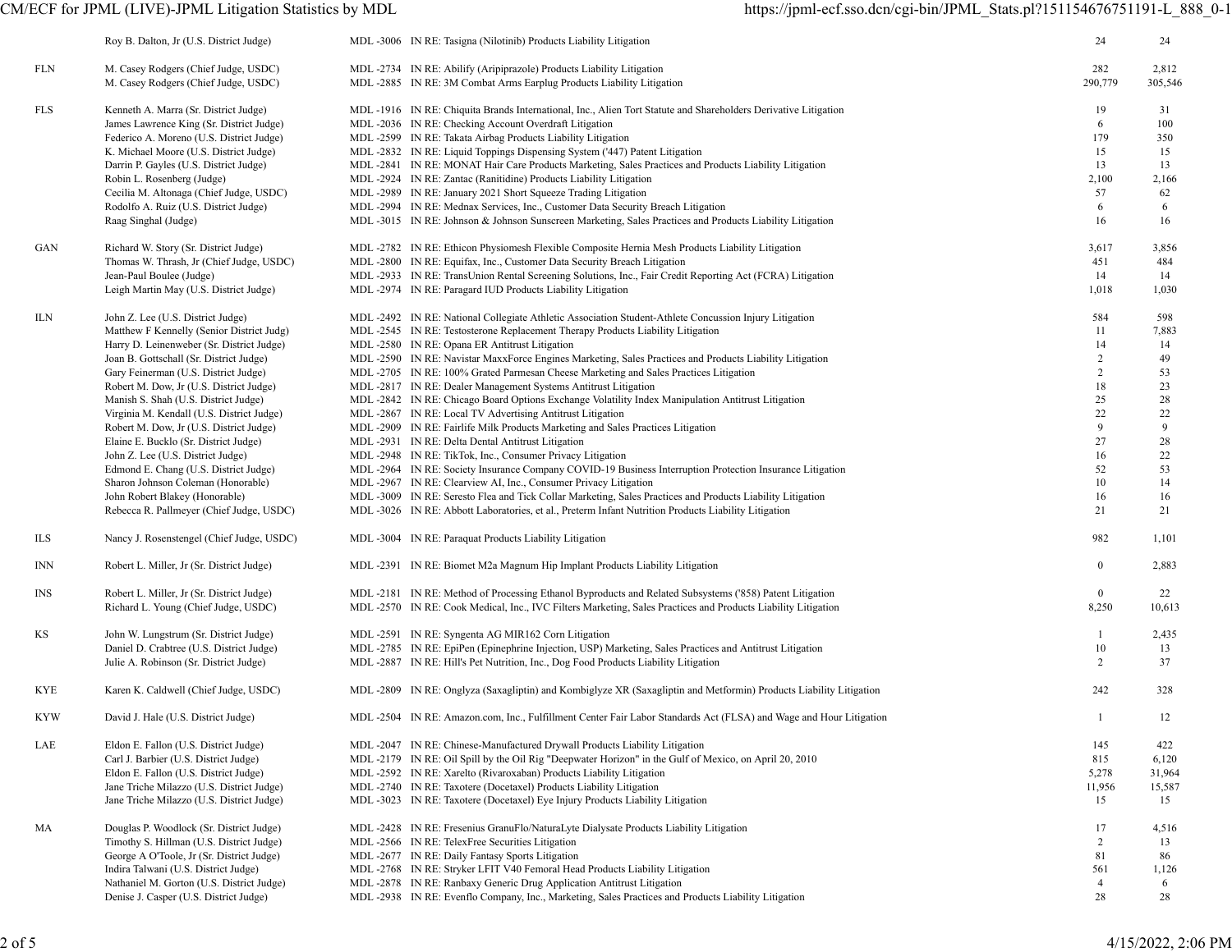|            | Roy B. Dalton, Jr (U.S. District Judge)   | MDL -3006 IN RE: Tasigna (Nilotinib) Products Liability Litigation                                                | 24             | 24      |
|------------|-------------------------------------------|-------------------------------------------------------------------------------------------------------------------|----------------|---------|
| FLN        | M. Casey Rodgers (Chief Judge, USDC)      | MDL -2734 IN RE: Abilify (Aripiprazole) Products Liability Litigation                                             | 282            | 2,812   |
|            | M. Casey Rodgers (Chief Judge, USDC)      | MDL -2885 IN RE: 3M Combat Arms Earplug Products Liability Litigation                                             | 290,779        | 305,546 |
| FLS        | Kenneth A. Marra (Sr. District Judge)     | MDL-1916 IN RE: Chiquita Brands International, Inc., Alien Tort Statute and Shareholders Derivative Litigation    | 19             | 31      |
|            | James Lawrence King (Sr. District Judge)  | MDL -2036 IN RE: Checking Account Overdraft Litigation                                                            | 6              | 100     |
|            | Federico A. Moreno (U.S. District Judge)  | MDL -2599 IN RE: Takata Airbag Products Liability Litigation                                                      | 179            | 350     |
|            | K. Michael Moore (U.S. District Judge)    | MDL -2832 IN RE: Liquid Toppings Dispensing System ('447) Patent Litigation                                       | 15             | 15      |
|            | Darrin P. Gayles (U.S. District Judge)    | MDL-2841 IN RE: MONAT Hair Care Products Marketing, Sales Practices and Products Liability Litigation             | 13             | 13      |
|            | Robin L. Rosenberg (Judge)                | MDL -2924 IN RE: Zantac (Ranitidine) Products Liability Litigation                                                | 2,100          | 2,166   |
|            | Cecilia M. Altonaga (Chief Judge, USDC)   | MDL -2989 IN RE: January 2021 Short Squeeze Trading Litigation                                                    | 57             | 62      |
|            | Rodolfo A. Ruiz (U.S. District Judge)     | MDL-2994 IN RE: Mednax Services, Inc., Customer Data Security Breach Litigation                                   | 6              | 6       |
|            | Raag Singhal (Judge)                      | MDL -3015 IN RE: Johnson & Johnson Sunscreen Marketing, Sales Practices and Products Liability Litigation         | 16             | 16      |
| GAN        | Richard W. Story (Sr. District Judge)     | MDL-2782 IN RE: Ethicon Physiomesh Flexible Composite Hernia Mesh Products Liability Litigation                   | 3,617          | 3,856   |
|            | Thomas W. Thrash, Jr (Chief Judge, USDC)  | MDL -2800 IN RE: Equifax, Inc., Customer Data Security Breach Litigation                                          | 451            | 484     |
|            | Jean-Paul Boulee (Judge)                  | MDL -2933 IN RE: TransUnion Rental Screening Solutions, Inc., Fair Credit Reporting Act (FCRA) Litigation         | 14             | 14      |
|            | Leigh Martin May (U.S. District Judge)    | MDL -2974 IN RE: Paragard IUD Products Liability Litigation                                                       | 1,018          | 1,030   |
| ILN        | John Z. Lee (U.S. District Judge)         | MDL-2492 IN RE: National Collegiate Athletic Association Student-Athlete Concussion Injury Litigation             | 584            | 598     |
|            | Matthew F Kennelly (Senior District Judg) | MDL-2545 IN RE: Testosterone Replacement Therapy Products Liability Litigation                                    | 11             | 7,883   |
|            | Harry D. Leinenweber (Sr. District Judge) | MDL -2580 IN RE: Opana ER Antitrust Litigation                                                                    | 14             | 14      |
|            | Joan B. Gottschall (Sr. District Judge)   | MDL-2590 IN RE: Navistar MaxxForce Engines Marketing, Sales Practices and Products Liability Litigation           | $\overline{2}$ | 49      |
|            | Gary Feinerman (U.S. District Judge)      | MDL-2705 IN RE: 100% Grated Parmesan Cheese Marketing and Sales Practices Litigation                              | $\overline{c}$ | 53      |
|            | Robert M. Dow, Jr (U.S. District Judge)   | MDL -2817 IN RE: Dealer Management Systems Antitrust Litigation                                                   | 18             | 23      |
|            | Manish S. Shah (U.S. District Judge)      | MDL-2842 IN RE: Chicago Board Options Exchange Volatility Index Manipulation Antitrust Litigation                 | 25             | 28      |
|            | Virginia M. Kendall (U.S. District Judge) | MDL -2867 IN RE: Local TV Advertising Antitrust Litigation                                                        | 22             | 22      |
|            | Robert M. Dow, Jr (U.S. District Judge)   | MDL-2909 IN RE: Fairlife Milk Products Marketing and Sales Practices Litigation                                   | 9              | 9       |
|            | Elaine E. Bucklo (Sr. District Judge)     | MDL -2931 IN RE: Delta Dental Antitrust Litigation                                                                | 27             | 28      |
|            | John Z. Lee (U.S. District Judge)         | MDL -2948 IN RE: TikTok, Inc., Consumer Privacy Litigation                                                        | 16             | 22      |
|            | Edmond E. Chang (U.S. District Judge)     | MDL-2964 IN RE: Society Insurance Company COVID-19 Business Interruption Protection Insurance Litigation          | 52             | 53      |
|            | Sharon Johnson Coleman (Honorable)        | MDL -2967 IN RE: Clearview AI, Inc., Consumer Privacy Litigation                                                  | 10             | 14      |
|            | John Robert Blakey (Honorable)            | MDL -3009 IN RE: Seresto Flea and Tick Collar Marketing, Sales Practices and Products Liability Litigation        | 16             | 16      |
|            | Rebecca R. Pallmeyer (Chief Judge, USDC)  | MDL-3026 IN RE: Abbott Laboratories, et al., Preterm Infant Nutrition Products Liability Litigation               | 21             | 21      |
| ILS        | Nancy J. Rosenstengel (Chief Judge, USDC) | MDL -3004 IN RE: Paraquat Products Liability Litigation                                                           | 982            | 1,101   |
| <b>INN</b> | Robert L. Miller, Jr (Sr. District Judge) | MDL-2391 IN RE: Biomet M2a Magnum Hip Implant Products Liability Litigation                                       | $\mathbf{0}$   | 2,883   |
| <b>INS</b> | Robert L. Miller, Jr (Sr. District Judge) | MDL-2181 IN RE: Method of Processing Ethanol Byproducts and Related Subsystems ('858) Patent Litigation           | $\mathbf{0}$   | 22      |
|            | Richard L. Young (Chief Judge, USDC)      | MDL-2570 IN RE: Cook Medical, Inc., IVC Filters Marketing, Sales Practices and Products Liability Litigation      | 8,250          | 10,613  |
| ΚS         | John W. Lungstrum (Sr. District Judge)    | MDL-2591 IN RE: Syngenta AG MIR162 Corn Litigation                                                                | -1             | 2,435   |
|            | Daniel D. Crabtree (U.S. District Judge)  | MDL-2785 IN RE: EpiPen (Epinephrine Injection, USP) Marketing, Sales Practices and Antitrust Litigation           | 10             | 13      |
|            | Julie A. Robinson (Sr. District Judge)    | MDL -2887 IN RE: Hill's Pet Nutrition, Inc., Dog Food Products Liability Litigation                               | 2              | 37      |
| KYE        | Karen K. Caldwell (Chief Judge, USDC)     | MDL-2809 IN RE: Onglyza (Saxagliptin) and Kombiglyze XR (Saxagliptin and Metformin) Products Liability Litigation | 242            | 328     |
| <b>KYW</b> | David J. Hale (U.S. District Judge)       | MDL-2504 IN RE: Amazon.com, Inc., Fulfillment Center Fair Labor Standards Act (FLSA) and Wage and Hour Litigation | $\mathbf{1}$   | 12      |
| LAE        | Eldon E. Fallon (U.S. District Judge)     | MDL-2047 IN RE: Chinese-Manufactured Drywall Products Liability Litigation                                        | 145            | 422     |
|            | Carl J. Barbier (U.S. District Judge)     | MDL-2179 IN RE: Oil Spill by the Oil Rig "Deepwater Horizon" in the Gulf of Mexico, on April 20, 2010             | 815            | 6,120   |
|            | Eldon E. Fallon (U.S. District Judge)     | MDL -2592 IN RE: Xarelto (Rivaroxaban) Products Liability Litigation                                              | 5,278          | 31,964  |
|            | Jane Triche Milazzo (U.S. District Judge) | MDL -2740 IN RE: Taxotere (Docetaxel) Products Liability Litigation                                               | 11,956         | 15,587  |
|            | Jane Triche Milazzo (U.S. District Judge) | MDL-3023 IN RE: Taxotere (Docetaxel) Eye Injury Products Liability Litigation                                     | 15             | 15      |
| МA         | Douglas P. Woodlock (Sr. District Judge)  | MDL-2428 IN RE: Fresenius GranuFlo/NaturaLyte Dialysate Products Liability Litigation                             | 17             | 4,516   |
|            | Timothy S. Hillman (U.S. District Judge)  | MDL-2566 IN RE: TelexFree Securities Litigation                                                                   | 2              | 13      |
|            | George A O'Toole, Jr (Sr. District Judge) | MDL -2677 IN RE: Daily Fantasy Sports Litigation                                                                  | 81             | 86      |
|            | Indira Talwani (U.S. District Judge)      | MDL -2768 IN RE: Stryker LFIT V40 Femoral Head Products Liability Litigation                                      | 561            | 1,126   |
|            | Nathaniel M. Gorton (U.S. District Judge) | MDL -2878 IN RE: Ranbaxy Generic Drug Application Antitrust Litigation                                            | $\overline{4}$ | 6       |
|            | Denise J. Casper (U.S. District Judge)    | MDL-2938 IN RE: Evenflo Company, Inc., Marketing, Sales Practices and Products Liability Litigation               | 28             | 28      |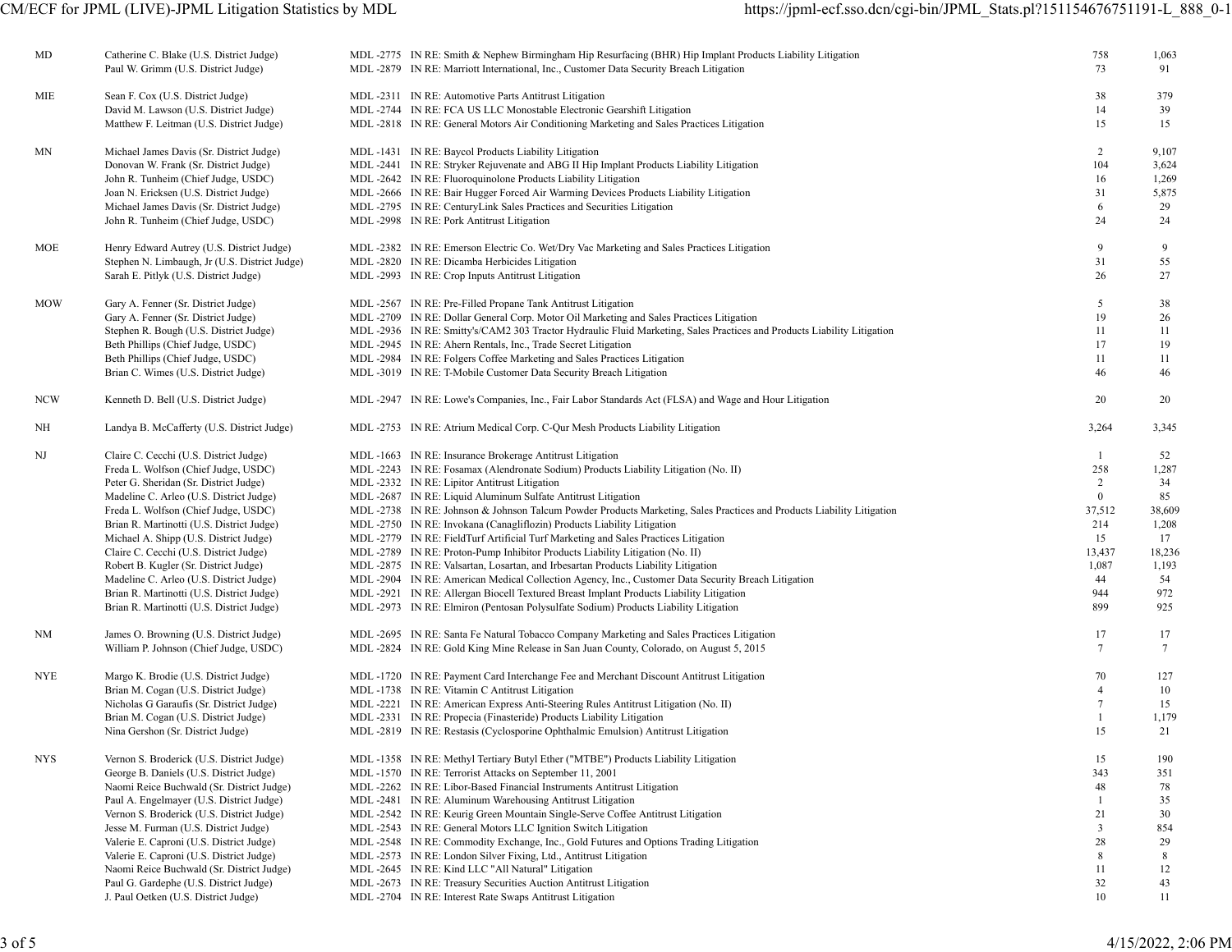| MD         | Catherine C. Blake (U.S. District Judge)<br>Paul W. Grimm (U.S. District Judge)      | MDL-2775 IN RE: Smith & Nephew Birmingham Hip Resurfacing (BHR) Hip Implant Products Liability Litigation<br>MDL -2879 IN RE: Marriott International, Inc., Customer Data Security Breach Litigation | 758<br>73       | 1,063<br>91 |
|------------|--------------------------------------------------------------------------------------|------------------------------------------------------------------------------------------------------------------------------------------------------------------------------------------------------|-----------------|-------------|
| MIE        | Sean F. Cox (U.S. District Judge)                                                    | MDL -2311 IN RE: Automotive Parts Antitrust Litigation                                                                                                                                               | 38              | 379         |
|            | David M. Lawson (U.S. District Judge)                                                | MDL -2744 IN RE: FCA US LLC Monostable Electronic Gearshift Litigation                                                                                                                               | 14              | 39          |
|            | Matthew F. Leitman (U.S. District Judge)                                             | MDL-2818 IN RE: General Motors Air Conditioning Marketing and Sales Practices Litigation                                                                                                             | 15              | 15          |
| ΜN         | Michael James Davis (Sr. District Judge)                                             | MDL-1431 IN RE: Baycol Products Liability Litigation                                                                                                                                                 | $\overline{2}$  | 9,107       |
|            | Donovan W. Frank (Sr. District Judge)                                                | MDL-2441 IN RE: Stryker Rejuvenate and ABG II Hip Implant Products Liability Litigation                                                                                                              | 104             | 3,624       |
|            | John R. Tunheim (Chief Judge, USDC)                                                  | MDL-2642 IN RE: Fluoroquinolone Products Liability Litigation                                                                                                                                        | 16              | 1,269       |
|            | Joan N. Ericksen (U.S. District Judge)                                               | MDL-2666 IN RE: Bair Hugger Forced Air Warming Devices Products Liability Litigation                                                                                                                 | 31              | 5,875       |
|            | Michael James Davis (Sr. District Judge)                                             | MDL -2795 IN RE: CenturyLink Sales Practices and Securities Litigation                                                                                                                               | 6               | 29          |
|            | John R. Tunheim (Chief Judge, USDC)                                                  | MDL-2998 IN RE: Pork Antitrust Litigation                                                                                                                                                            | 24              | 24          |
| MOE        | Henry Edward Autrey (U.S. District Judge)                                            | MDL-2382 IN RE: Emerson Electric Co. Wet/Dry Vac Marketing and Sales Practices Litigation                                                                                                            | 9               | 9           |
|            | Stephen N. Limbaugh, Jr (U.S. District Judge)                                        | MDL -2820 IN RE: Dicamba Herbicides Litigation                                                                                                                                                       | 31              | 55          |
|            | Sarah E. Pitlyk (U.S. District Judge)                                                | MDL -2993 IN RE: Crop Inputs Antitrust Litigation                                                                                                                                                    | 26              | 27          |
| <b>MOW</b> | Gary A. Fenner (Sr. District Judge)                                                  | MDL -2567 IN RE: Pre-Filled Propane Tank Antitrust Litigation                                                                                                                                        | 5               | 38          |
|            | Gary A. Fenner (Sr. District Judge)                                                  | MDL-2709 IN RE: Dollar General Corp. Motor Oil Marketing and Sales Practices Litigation                                                                                                              | 19              | 26          |
|            | Stephen R. Bough (U.S. District Judge)                                               | MDL-2936 IN RE: Smitty's/CAM2 303 Tractor Hydraulic Fluid Marketing, Sales Practices and Products Liability Litigation                                                                               | 11              | 11          |
|            | Beth Phillips (Chief Judge, USDC)                                                    | MDL -2945 IN RE: Ahern Rentals, Inc., Trade Secret Litigation                                                                                                                                        | 17              | 19          |
|            | Beth Phillips (Chief Judge, USDC)                                                    | MDL-2984 IN RE: Folgers Coffee Marketing and Sales Practices Litigation                                                                                                                              | 11              | 11          |
|            | Brian C. Wimes (U.S. District Judge)                                                 | MDL-3019 IN RE: T-Mobile Customer Data Security Breach Litigation                                                                                                                                    | 46              | 46          |
| <b>NCW</b> | Kenneth D. Bell (U.S. District Judge)                                                | MDL-2947 IN RE: Lowe's Companies, Inc., Fair Labor Standards Act (FLSA) and Wage and Hour Litigation                                                                                                 | 20              | 20          |
| NH         | Landya B. McCafferty (U.S. District Judge)                                           | MDL -2753 IN RE: Atrium Medical Corp. C-Qur Mesh Products Liability Litigation                                                                                                                       | 3,264           | 3,345       |
| NJ         | Claire C. Cecchi (U.S. District Judge)                                               | MDL-1663 IN RE: Insurance Brokerage Antitrust Litigation                                                                                                                                             | -1              | 52          |
|            | Freda L. Wolfson (Chief Judge, USDC)                                                 | MDL-2243 IN RE: Fosamax (Alendronate Sodium) Products Liability Litigation (No. II)                                                                                                                  | 258             | 1,287       |
|            | Peter G. Sheridan (Sr. District Judge)                                               | MDL -2332 IN RE: Lipitor Antitrust Litigation                                                                                                                                                        | 2               | 34          |
|            | Madeline C. Arleo (U.S. District Judge)                                              | MDL -2687 IN RE: Liquid Aluminum Sulfate Antitrust Litigation                                                                                                                                        | $\mathbf{0}$    | 85          |
|            | Freda L. Wolfson (Chief Judge, USDC)                                                 | MDL-2738 IN RE: Johnson & Johnson Talcum Powder Products Marketing, Sales Practices and Products Liability Litigation                                                                                | 37,512          | 38,609      |
|            | Brian R. Martinotti (U.S. District Judge)                                            | MDL -2750 IN RE: Invokana (Canagliflozin) Products Liability Litigation                                                                                                                              | 214             | 1,208       |
|            | Michael A. Shipp (U.S. District Judge)                                               | MDL-2779 IN RE: FieldTurf Artificial Turf Marketing and Sales Practices Litigation                                                                                                                   | 15              | 17          |
|            | Claire C. Cecchi (U.S. District Judge)                                               | MDL -2789 IN RE: Proton-Pump Inhibitor Products Liability Litigation (No. II)                                                                                                                        | 13,437          | 18,236      |
|            | Robert B. Kugler (Sr. District Judge)                                                | MDL -2875 IN RE: Valsartan, Losartan, and Irbesartan Products Liability Litigation                                                                                                                   | 1,087<br>44     | 1,193<br>54 |
|            | Madeline C. Arleo (U.S. District Judge)<br>Brian R. Martinotti (U.S. District Judge) | MDL-2904 IN RE: American Medical Collection Agency, Inc., Customer Data Security Breach Litigation<br>MDL-2921 IN RE: Allergan Biocell Textured Breast Implant Products Liability Litigation         | 944             | 972         |
|            | Brian R. Martinotti (U.S. District Judge)                                            | MDL-2973 IN RE: Elmiron (Pentosan Polysulfate Sodium) Products Liability Litigation                                                                                                                  | 899             | 925         |
| NM         | James O. Browning (U.S. District Judge)                                              | MDL-2695 IN RE: Santa Fe Natural Tobacco Company Marketing and Sales Practices Litigation                                                                                                            | 17              | 17          |
|            | William P. Johnson (Chief Judge, USDC)                                               | MDL-2824 IN RE: Gold King Mine Release in San Juan County, Colorado, on August 5, 2015                                                                                                               | $7\phantom{.0}$ | $\tau$      |
|            |                                                                                      |                                                                                                                                                                                                      |                 |             |
| NYE        | Margo K. Brodie (U.S. District Judge)                                                | MDL-1720 IN RE: Payment Card Interchange Fee and Merchant Discount Antitrust Litigation                                                                                                              | 70              | 127         |
|            | Brian M. Cogan (U.S. District Judge)                                                 | MDL -1738 IN RE: Vitamin C Antitrust Litigation                                                                                                                                                      | $\overline{4}$  | 10          |
|            | Nicholas G Garaufis (Sr. District Judge)                                             | MDL -2221 IN RE: American Express Anti-Steering Rules Antitrust Litigation (No. II)                                                                                                                  | $\tau$          | 15          |
|            | Brian M. Cogan (U.S. District Judge)                                                 | MDL -2331 IN RE: Propecia (Finasteride) Products Liability Litigation                                                                                                                                |                 | 1,179       |
|            | Nina Gershon (Sr. District Judge)                                                    | MDL -2819 IN RE: Restasis (Cyclosporine Ophthalmic Emulsion) Antitrust Litigation                                                                                                                    | 15              | 21          |
| NYS.       | Vernon S. Broderick (U.S. District Judge)                                            | MDL -1358 IN RE: Methyl Tertiary Butyl Ether ("MTBE") Products Liability Litigation                                                                                                                  | 15              | 190         |
|            | George B. Daniels (U.S. District Judge)                                              | MDL-1570 IN RE: Terrorist Attacks on September 11, 2001                                                                                                                                              | 343             | 351         |
|            | Naomi Reice Buchwald (Sr. District Judge)                                            | MDL -2262 IN RE: Libor-Based Financial Instruments Antitrust Litigation                                                                                                                              | 48              | 78          |
|            | Paul A. Engelmayer (U.S. District Judge)                                             | MDL -2481 IN RE: Aluminum Warehousing Antitrust Litigation                                                                                                                                           | $\mathbf{1}$    | 35          |
|            | Vernon S. Broderick (U.S. District Judge)                                            | MDL -2542 IN RE: Keurig Green Mountain Single-Serve Coffee Antitrust Litigation                                                                                                                      | 21              | 30          |
|            | Jesse M. Furman (U.S. District Judge)                                                | MDL -2543 IN RE: General Motors LLC Ignition Switch Litigation                                                                                                                                       | 3               | 854         |
|            | Valerie E. Caproni (U.S. District Judge)<br>Valerie E. Caproni (U.S. District Judge) | MDL-2548 IN RE: Commodity Exchange, Inc., Gold Futures and Options Trading Litigation<br>MDL -2573 IN RE: London Silver Fixing, Ltd., Antitrust Litigation                                           | 28<br>8         | 29<br>8     |
|            | Naomi Reice Buchwald (Sr. District Judge)                                            | MDL -2645 IN RE: Kind LLC "All Natural" Litigation                                                                                                                                                   | 11              | 12          |
|            | Paul G. Gardephe (U.S. District Judge)                                               | MDL -2673 IN RE: Treasury Securities Auction Antitrust Litigation                                                                                                                                    | 32              | 43          |
|            | J. Paul Oetken (U.S. District Judge)                                                 | MDL -2704 IN RE: Interest Rate Swaps Antitrust Litigation                                                                                                                                            | 10              | 11          |
|            |                                                                                      |                                                                                                                                                                                                      |                 |             |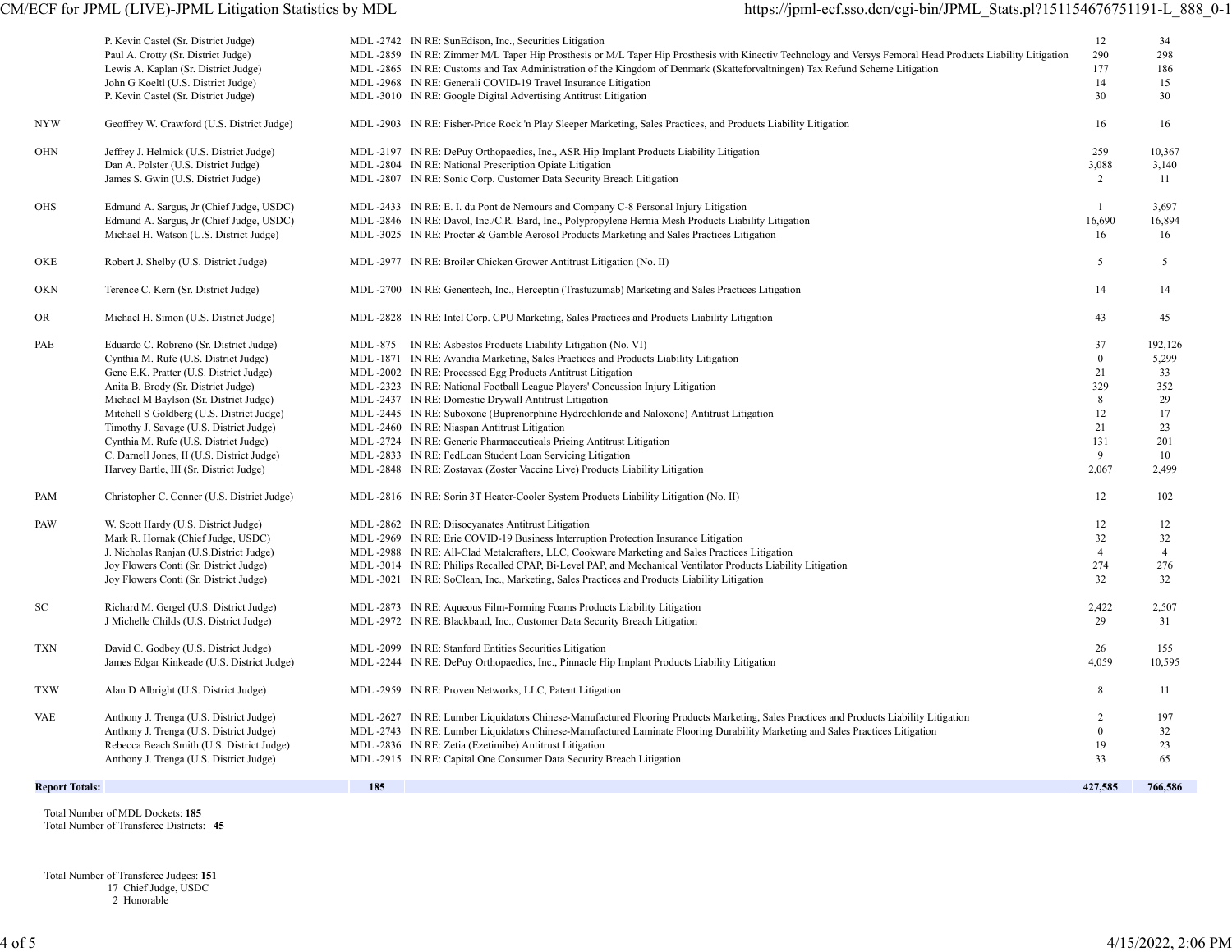# CM/ECF for JPML (LIVE)-JPML Litigation Statistics by MDL https://jpml-ecf.sso.dcn/cgi-bin/JPML\_Stats.pl?151154676751191-L\_888\_0-1

|                                     | P. Kevin Castel (Sr. District Judge)<br>Paul A. Crotty (Sr. District Judge)<br>Lewis A. Kaplan (Sr. District Judge)<br>John G Koeltl (U.S. District Judge)<br>P. Kevin Castel (Sr. District Judge)                                                                                                                                                                                                                                     |     | MDL -2742 IN RE: SunEdison, Inc., Securities Litigation<br>MDL-2859 IN RE: Zimmer M/L Taper Hip Prosthesis or M/L Taper Hip Prosthesis with Kinectiv Technology and Versys Femoral Head Products Liability Litigation<br>MDL-2865 IN RE: Customs and Tax Administration of the Kingdom of Denmark (Skatteforvaltningen) Tax Refund Scheme Litigation<br>MDL -2968 IN RE: Generali COVID-19 Travel Insurance Litigation<br>MDL -3010 IN RE: Google Digital Advertising Antitrust Litigation                                                                                                                                                                                                                                               | 12<br>290<br>177<br>14<br>30                                          | 34<br>298<br>186<br>15<br>30                                          |
|-------------------------------------|----------------------------------------------------------------------------------------------------------------------------------------------------------------------------------------------------------------------------------------------------------------------------------------------------------------------------------------------------------------------------------------------------------------------------------------|-----|------------------------------------------------------------------------------------------------------------------------------------------------------------------------------------------------------------------------------------------------------------------------------------------------------------------------------------------------------------------------------------------------------------------------------------------------------------------------------------------------------------------------------------------------------------------------------------------------------------------------------------------------------------------------------------------------------------------------------------------|-----------------------------------------------------------------------|-----------------------------------------------------------------------|
| <b>NYW</b>                          | Geoffrey W. Crawford (U.S. District Judge)                                                                                                                                                                                                                                                                                                                                                                                             |     | MDL-2903 IN RE: Fisher-Price Rock 'n Play Sleeper Marketing, Sales Practices, and Products Liability Litigation                                                                                                                                                                                                                                                                                                                                                                                                                                                                                                                                                                                                                          | 16                                                                    | 16                                                                    |
| <b>OHN</b>                          | Jeffrey J. Helmick (U.S. District Judge)<br>Dan A. Polster (U.S. District Judge)<br>James S. Gwin (U.S. District Judge)                                                                                                                                                                                                                                                                                                                |     | MDL-2197 IN RE: DePuy Orthopaedics, Inc., ASR Hip Implant Products Liability Litigation<br>MDL -2804 IN RE: National Prescription Opiate Litigation<br>MDL -2807 IN RE: Sonic Corp. Customer Data Security Breach Litigation                                                                                                                                                                                                                                                                                                                                                                                                                                                                                                             | 259<br>3,088<br>2                                                     | 10,367<br>3,140<br>-11                                                |
| OHS                                 | Edmund A. Sargus, Jr (Chief Judge, USDC)<br>Edmund A. Sargus, Jr (Chief Judge, USDC)<br>Michael H. Watson (U.S. District Judge)                                                                                                                                                                                                                                                                                                        |     | MDL-2433 IN RE: E. I. du Pont de Nemours and Company C-8 Personal Injury Litigation<br>MDL -2846 IN RE: Davol, Inc./C.R. Bard, Inc., Polypropylene Hernia Mesh Products Liability Litigation<br>MDL-3025 IN RE: Procter & Gamble Aerosol Products Marketing and Sales Practices Litigation                                                                                                                                                                                                                                                                                                                                                                                                                                               | $\overline{1}$<br>16,690<br>16                                        | 3,697<br>16,894<br>16                                                 |
| OKE                                 | Robert J. Shelby (U.S. District Judge)                                                                                                                                                                                                                                                                                                                                                                                                 |     | MDL -2977 IN RE: Broiler Chicken Grower Antitrust Litigation (No. II)                                                                                                                                                                                                                                                                                                                                                                                                                                                                                                                                                                                                                                                                    | 5                                                                     | 5                                                                     |
| OKN                                 | Terence C. Kern (Sr. District Judge)                                                                                                                                                                                                                                                                                                                                                                                                   |     | MDL-2700 IN RE: Genentech, Inc., Herceptin (Trastuzumab) Marketing and Sales Practices Litigation                                                                                                                                                                                                                                                                                                                                                                                                                                                                                                                                                                                                                                        | 14                                                                    | 14                                                                    |
| <b>OR</b>                           | Michael H. Simon (U.S. District Judge)                                                                                                                                                                                                                                                                                                                                                                                                 |     | MDL-2828 IN RE: Intel Corp. CPU Marketing, Sales Practices and Products Liability Litigation                                                                                                                                                                                                                                                                                                                                                                                                                                                                                                                                                                                                                                             | 43                                                                    | 45                                                                    |
| PAE                                 | Eduardo C. Robreno (Sr. District Judge)<br>Cynthia M. Rufe (U.S. District Judge)<br>Gene E.K. Pratter (U.S. District Judge)<br>Anita B. Brody (Sr. District Judge)<br>Michael M Baylson (Sr. District Judge)<br>Mitchell S Goldberg (U.S. District Judge)<br>Timothy J. Savage (U.S. District Judge)<br>Cynthia M. Rufe (U.S. District Judge)<br>C. Darnell Jones, II (U.S. District Judge)<br>Harvey Bartle, III (Sr. District Judge) |     | MDL -875 IN RE: Asbestos Products Liability Litigation (No. VI)<br>MDL-1871 IN RE: Avandia Marketing, Sales Practices and Products Liability Litigation<br>MDL-2002 IN RE: Processed Egg Products Antitrust Litigation<br>MDL -2323 IN RE: National Football League Players' Concussion Injury Litigation<br>MDL -2437 IN RE: Domestic Drywall Antitrust Litigation<br>MDL-2445 IN RE: Suboxone (Buprenorphine Hydrochloride and Naloxone) Antitrust Litigation<br>MDL -2460 IN RE: Niaspan Antitrust Litigation<br>MDL -2724 IN RE: Generic Pharmaceuticals Pricing Antitrust Litigation<br>MDL -2833 IN RE: FedLoan Student Loan Servicing Litigation<br>MDL -2848 IN RE: Zostavax (Zoster Vaccine Live) Products Liability Litigation | 37<br>$\mathbf{0}$<br>21<br>329<br>8<br>12<br>21<br>131<br>9<br>2,067 | 192,126<br>5,299<br>33<br>352<br>29<br>17<br>23<br>201<br>10<br>2,499 |
| PAM                                 | Christopher C. Conner (U.S. District Judge)                                                                                                                                                                                                                                                                                                                                                                                            |     | MDL -2816 IN RE: Sorin 3T Heater-Cooler System Products Liability Litigation (No. II)                                                                                                                                                                                                                                                                                                                                                                                                                                                                                                                                                                                                                                                    | 12                                                                    | 102                                                                   |
| PAW                                 | W. Scott Hardy (U.S. District Judge)<br>Mark R. Hornak (Chief Judge, USDC)<br>J. Nicholas Ranjan (U.S.District Judge)<br>Joy Flowers Conti (Sr. District Judge)<br>Joy Flowers Conti (Sr. District Judge)                                                                                                                                                                                                                              |     | MDL -2862 IN RE: Diisocyanates Antitrust Litigation<br>MDL-2969 IN RE: Erie COVID-19 Business Interruption Protection Insurance Litigation<br>MDL-2988 IN RE: All-Clad Metalcrafters, LLC, Cookware Marketing and Sales Practices Litigation<br>MDL-3014 IN RE: Philips Recalled CPAP, Bi-Level PAP, and Mechanical Ventilator Products Liability Litigation<br>MDL-3021 IN RE: SoClean, Inc., Marketing, Sales Practices and Products Liability Litigation                                                                                                                                                                                                                                                                              | 12<br>32<br>$\overline{4}$<br>274<br>32                               | 12<br>32<br>$\overline{4}$<br>276<br>32                               |
| SC                                  | Richard M. Gergel (U.S. District Judge)<br>J Michelle Childs (U.S. District Judge)                                                                                                                                                                                                                                                                                                                                                     |     | MDL -2873 IN RE: Aqueous Film-Forming Foams Products Liability Litigation<br>MDL-2972 IN RE: Blackbaud, Inc., Customer Data Security Breach Litigation                                                                                                                                                                                                                                                                                                                                                                                                                                                                                                                                                                                   | 2,422<br>29                                                           | 2,507<br>31                                                           |
| TXN                                 | David C. Godbey (U.S. District Judge)<br>James Edgar Kinkeade (U.S. District Judge)                                                                                                                                                                                                                                                                                                                                                    |     | MDL -2099 IN RE: Stanford Entities Securities Litigation<br>MDL-2244 IN RE: DePuy Orthopaedics, Inc., Pinnacle Hip Implant Products Liability Litigation                                                                                                                                                                                                                                                                                                                                                                                                                                                                                                                                                                                 | 26<br>4,059                                                           | 155<br>10,595                                                         |
| <b>TXW</b>                          | Alan D Albright (U.S. District Judge)                                                                                                                                                                                                                                                                                                                                                                                                  |     | MDL -2959 IN RE: Proven Networks, LLC, Patent Litigation                                                                                                                                                                                                                                                                                                                                                                                                                                                                                                                                                                                                                                                                                 | 8                                                                     | 11                                                                    |
| <b>VAE</b><br><b>Report Totals:</b> | Anthony J. Trenga (U.S. District Judge)<br>Anthony J. Trenga (U.S. District Judge)<br>Rebecca Beach Smith (U.S. District Judge)<br>Anthony J. Trenga (U.S. District Judge)                                                                                                                                                                                                                                                             | 185 | MDL -2627 IN RE: Lumber Liquidators Chinese-Manufactured Flooring Products Marketing, Sales Practices and Products Liability Litigation<br>MDL-2743 IN RE: Lumber Liquidators Chinese-Manufactured Laminate Flooring Durability Marketing and Sales Practices Litigation<br>MDL -2836 IN RE: Zetia (Ezetimibe) Antitrust Litigation<br>MDL -2915 IN RE: Capital One Consumer Data Security Breach Litigation                                                                                                                                                                                                                                                                                                                             | $\overline{2}$<br>$\mathbf{0}$<br>19<br>33<br>427,585                 | 197<br>32<br>23<br>65<br>766,586                                      |
|                                     |                                                                                                                                                                                                                                                                                                                                                                                                                                        |     |                                                                                                                                                                                                                                                                                                                                                                                                                                                                                                                                                                                                                                                                                                                                          |                                                                       |                                                                       |

 Total Number of MDL Dockets: **185** Total Number of Transferee Districts: **45**

 Total Number of Transferee Judges: **151** 17 Chief Judge, USDC 2 Honorable